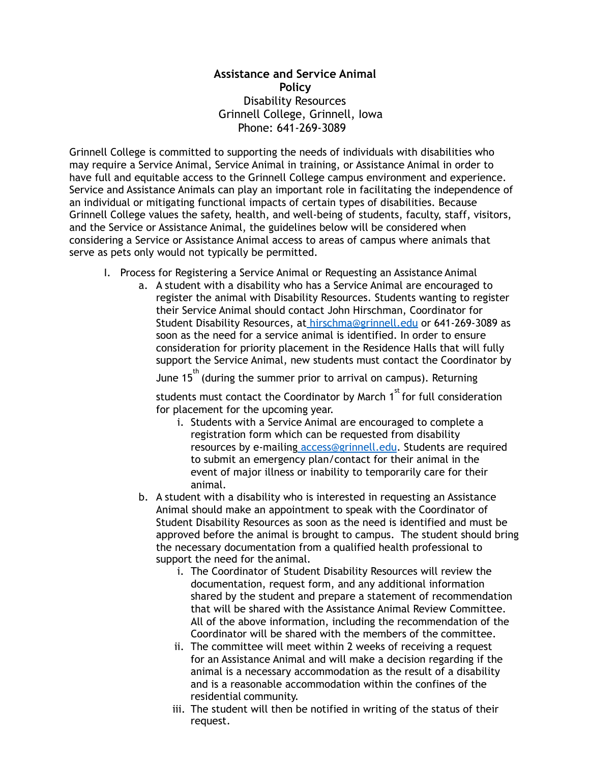## **Disability Resources**  Disability Resources Grinnell College, Grinnell, Iowa Phone: 641-269-3089 **Assistance and Service Animal Policy**

 Grinnell College is committed to supporting the needs of individuals with disabilities who may require a Service Animal, Service Animal in training, or Assistance Animal in order to have full and equitable access to the Grinnell College campus environment and experience. Service and Assistance Animals can play an important role in facilitating the independence of an individual or mitigating functional impacts of certain types of disabilities. Because Grinnell College values the safety, health, and well-being of students, faculty, staff, visitors, and the Service or Assistance Animal, the guidelines below will be considered when considering a Service or Assistance Animal access to areas of campus where animals that serve as pets only would not typically be permitted.

- I. Process for Registering a Service Animal or Requesting an Assistance Animal
	- a. A student with a disability who has a Service Animal are encouraged to register the animal with Disability Resources. Students wanting to register their Service Animal should contact John Hirschman, Coordinator for Student Disability Resources, a[t hirschma@grinnell.edu](mailto:hirschma@grinnell.edu) or 641-269-3089 as soon as the need for a service animal is identified. In order to ensure consideration for priority placement in the Residence Halls that will fully support the Service Animal, new students must contact the Coordinator by

June  $15<sup>th</sup>$  (during the summer prior to arrival on campus). Returning

students must contact the Coordinator by March  $1<sup>st</sup>$  for full consideration for placement for the upcoming year.

- i. Students with a Service Animal are encouraged to complete a registration form which can be requested from disability resources by e-mailing [access@grinnell.edu.](mailto:access@grinnell.edu) Students are required to submit an emergency plan/contact for their animal in the event of major illness or inability to temporarily care for their animal.
- b. A student with a disability who is interested in requesting an Assistance Animal should make an appointment to speak with the Coordinator of Student Disability Resources as soon as the need is identified and must be approved before the animal is brought to campus. The student should bring the necessary documentation from a qualified health professional to support the need for the animal.
	- i. The Coordinator of Student Disability Resources will review the documentation, request form, and any additional information shared by the student and prepare a statement of recommendation that will be shared with the Assistance Animal Review Committee. All of the above information, including the recommendation of the Coordinator will be shared with the members of the committee.
	- ii. The committee will meet within 2 weeks of receiving a request for an Assistance Animal and will make a decision regarding if the animal is a necessary accommodation as the result of a disability and is a reasonable accommodation within the confines of the residential community.
	- iii. The student will then be notified in writing of the status of their request.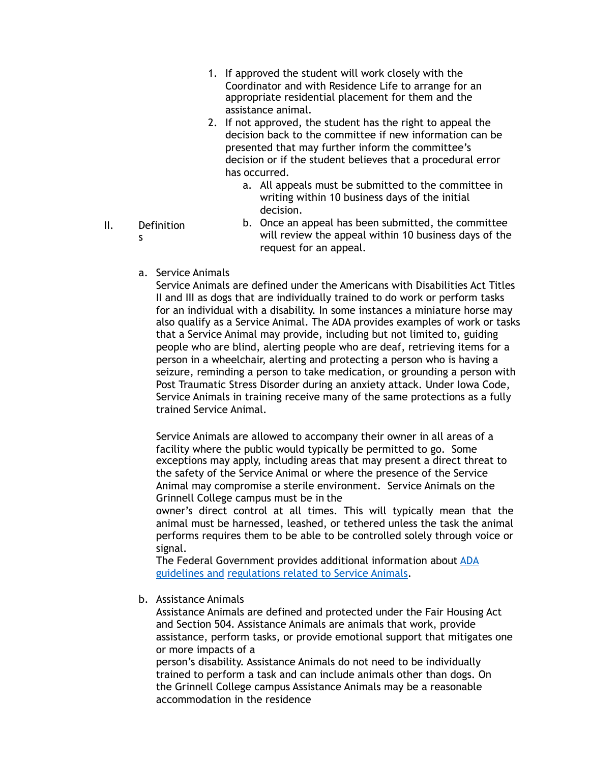- 1. If approved the student will work closely with the Coordinator and with Residence Life to arrange for an appropriate residential placement for them and the assistance animal.
- 2. If not approved, the student has the right to appeal the decision back to the committee if new information can be presented that may further inform the committee's decision or if the student believes that a procedural error has occurred.
	- a. All appeals must be submitted to the committee in writing within 10 business days of the initial decision.
- II. Definition s
- b. Once an appeal has been submitted, the committee will review the appeal within 10 business days of the request for an appeal.
- a. Service Animals

Service Animals are defined under the Americans with Disabilities Act Titles II and III as dogs that are individually trained to do work or perform tasks for an individual with a disability. In some instances a miniature horse may also qualify as a Service Animal. The ADA provides examples of work or tasks that a Service Animal may provide, including but not limited to, guiding people who are blind, alerting people who are deaf, retrieving items for a person in a wheelchair, alerting and protecting a person who is having a seizure, reminding a person to take medication, or grounding a person with Post Traumatic Stress Disorder during an anxiety attack. Under Iowa Code, Service Animals in training receive many of the same protections as a fully trained Service Animal.

Service Animals are allowed to accompany their owner in all areas of a facility where the public would typically be permitted to go. Some exceptions may apply, including areas that may present a direct threat to the safety of the Service Animal or where the presence of the Service Animal may compromise a sterile environment. Service Animals on the Grinnell College campus must be in the

owner's direct control at all times. This will typically mean that the animal must be harnessed, leashed, or tethered unless the task the animal performs requires them to be able to be controlled solely through voice or signal.

The Federal Government provides additional information about [ADA](http://www.ada.gov/service_animals_2010.htm)  [guidelines and regulations related to Service Animals.](http://www.ada.gov/service_animals_2010.htm)

b. Assistance Animals

Assistance Animals are defined and protected under the Fair Housing Act and Section 504. Assistance Animals are animals that work, provide assistance, perform tasks, or provide emotional support that mitigates one or more impacts of a

person's disability. Assistance Animals do not need to be individually trained to perform a task and can include animals other than dogs. On the Grinnell College campus Assistance Animals may be a reasonable accommodation in the residence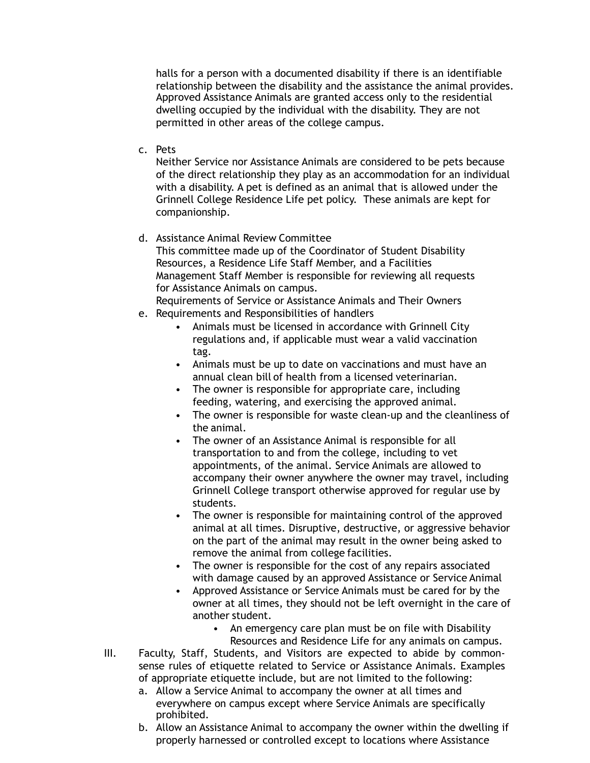relationship between the disability and the assistance the animal provides. Approved Assistance Animals are granted access only to the residential dwelling occupied by the individual with the disability. They are not permitted in other areas of the college campus. halls for a person with a documented disability if there is an identifiable

c. Pets

Neither Service nor Assistance Animals are considered to be pets because of the direct relationship they play as an accommodation for an individual with a disability. A pet is defined as an animal that is allowed under the Grinnell College Residence Life pet policy. These animals are kept for companionship.

d. Assistance Animal Review Committee

This committee made up of the Coordinator of Student Disability Resources, a Residence Life Staff Member, and a Facilities Management Staff Member is responsible for reviewing all requests for Assistance Animals on campus.

- Requirements of Service or Assistance Animals and Their Owners
- e. Requirements and Responsibilities of handlers
	- • Animals must be licensed in accordance with Grinnell City regulations and, if applicable must wear a valid vaccination tag.
	- • Animals must be up to date on vaccinations and must have an annual clean bill of health from a licensed veterinarian.
	- • The owner is responsible for appropriate care, including feeding, watering, and exercising the approved animal.
	- • The owner is responsible for waste clean-up and the cleanliness of the animal.
	- • The owner of an Assistance Animal is responsible for all transportation to and from the college, including to vet appointments, of the animal. Service Animals are allowed to accompany their owner anywhere the owner may travel, including Grinnell College transport otherwise approved for regular use by students.
	- • The owner is responsible for maintaining control of the approved animal at all times. Disruptive, destructive, or aggressive behavior on the part of the animal may result in the owner being asked to remove the animal from college facilities.
	- • The owner is responsible for the cost of any repairs associated with damage caused by an approved Assistance or Service Animal
	- • Approved Assistance or Service Animals must be cared for by the owner at all times, they should not be left overnight in the care of another student.
		- • An emergency care plan must be on file with Disability Resources and Residence Life for any animals on campus.
- III. Faculty, Staff, Students, and Visitors are expected to abide by commonsense rules of etiquette related to Service or Assistance Animals. Examples of appropriate etiquette include, but are not limited to the following:
	- a. Allow a Service Animal to accompany the owner at all times and everywhere on campus except where Service Animals are specifically prohibited.
	- b. Allow an Assistance Animal to accompany the owner within the dwelling if properly harnessed or controlled except to locations where Assistance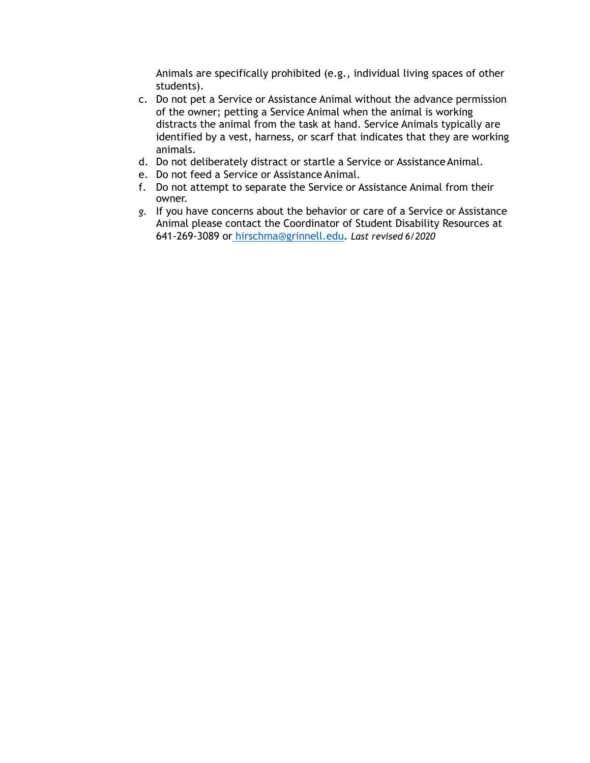Animals are specifically prohibited (e.g., individual living spaces of other students).

- c. Do not pet a Service or Assistance Animal without the advance permission of the owner; petting a Service Animal when the animal is working distracts the animal from the task at hand. Service Animals typically are identified by a vest, harness, or scarf that indicates that they are working animals.
- d. Do not deliberately distract or startle a Service or AssistanceAnimal.
- e. Do not feed a Service or Assistance Animal.
- f. Do not attempt to separate the Service or Assistance Animal from their owner.
- *g.* If you have concerns about the behavior or care of a Service or Assistance Animal please contact the Coordinator of Student Disability Resources at 641-269-3089 o[r hirschma@grinnell.edu.](mailto:hirschma@grinnell.edu) *Last revised 6/2020*